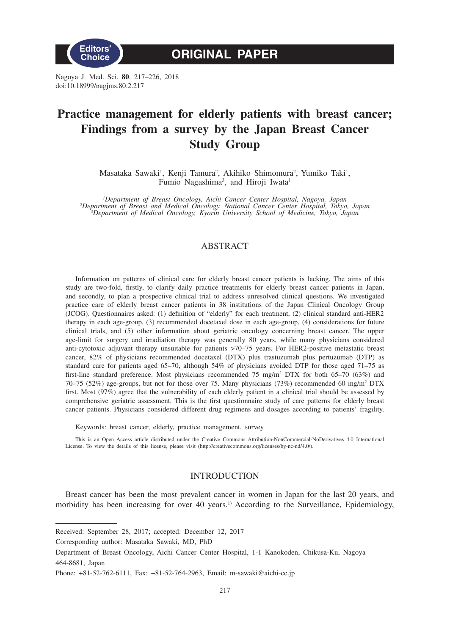

**ORIGINAL PAPER**

Nagoya J. Med. Sci. **80**. 217–226, 2018 doi:10.18999/nagjms.80.2.217

# **Practice management for elderly patients with breast cancer; Findings from a survey by the Japan Breast Cancer Study Group**

Masataka Sawaki<sup>1</sup>, Kenji Tamura<sup>2</sup>, Akihiko Shimomura<sup>2</sup>, Yumiko Taki<sup>1</sup>, Fumio Nagashima<sup>3</sup>, and Hiroji Iwata<sup>1</sup>

<sup>1</sup>Department of Breast Oncology, Aichi Cancer Center Hospital, Nagoya, Japan<br><sup>2</sup>Department of Breast and Medical Oncology, National Cancer Center Hospital, Tokyo, Japan<sup>3</sup>Department of Medical Oncology, Kyorin University

# ABSTRACT

Information on patterns of clinical care for elderly breast cancer patients is lacking. The aims of this study are two-fold, firstly, to clarify daily practice treatments for elderly breast cancer patients in Japan, and secondly, to plan a prospective clinical trial to address unresolved clinical questions. We investigated practice care of elderly breast cancer patients in 38 institutions of the Japan Clinical Oncology Group (JCOG). Questionnaires asked: (1) definition of "elderly" for each treatment, (2) clinical standard anti-HER2 therapy in each age-group, (3) recommended docetaxel dose in each age-group, (4) considerations for future clinical trials, and (5) other information about geriatric oncology concerning breast cancer. The upper age-limit for surgery and irradiation therapy was generally 80 years, while many physicians considered anti-cytotoxic adjuvant therapy unsuitable for patients >70–75 years. For HER2-positive metastatic breast cancer, 82% of physicians recommended docetaxel (DTX) plus trastuzumab plus pertuzumab (DTP) as standard care for patients aged 65–70, although 54% of physicians avoided DTP for those aged 71–75 as first-line standard preference. Most physicians recommended 75 mg/m<sup>2</sup> DTX for both 65–70 (63%) and 70–75 (52%) age-groups, but not for those over 75. Many physicians (73%) recommended 60 mg/m<sup>2</sup> DTX first. Most (97%) agree that the vulnerability of each elderly patient in a clinical trial should be assessed by comprehensive geriatric assessment. This is the first questionnaire study of care patterns for elderly breast cancer patients. Physicians considered different drug regimens and dosages according to patients' fragility.

Keywords: breast cancer, elderly, practice management, survey

This is an Open Access article distributed under the Creative Commons Attribution-NonCommercial-NoDerivatives 4.0 International License. To view the details of this license, please visit (http://creativecommons.org/licenses/by-nc-nd/4.0/).

## INTRODUCTION

Breast cancer has been the most prevalent cancer in women in Japan for the last 20 years, and morbidity has been increasing for over 40 years.<sup>1)</sup> According to the Surveillance, Epidemiology,

Corresponding author: Masataka Sawaki, MD, PhD

Received: September 28, 2017; accepted: December 12, 2017

Department of Breast Oncology, Aichi Cancer Center Hospital, 1-1 Kanokoden, Chikusa-Ku, Nagoya 464-8681, Japan

Phone: +81-52-762-6111, Fax: +81-52-764-2963, Email: m-sawaki@aichi-cc.jp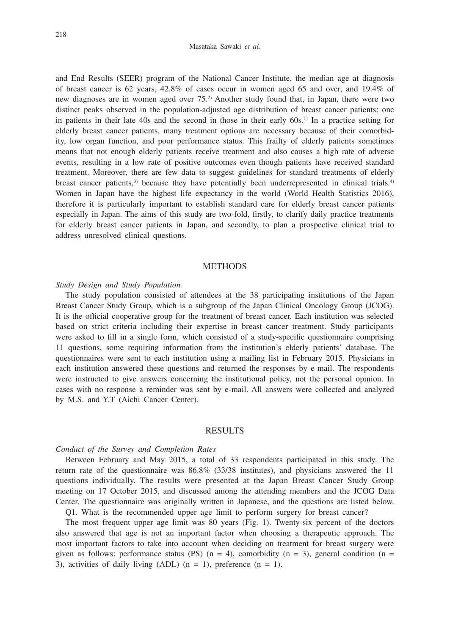#### Masataka Sawaki *et al.*

and End Results (SEER) program of the National Cancer Institute, the median age at diagnosis of breast cancer is 62 years, 42.8% of cases occur in women aged 65 and over, and 19.4% of new diagnoses are in women aged over 75.2) Another study found that, in Japan, there were two distinct peaks observed in the population-adjusted age distribution of breast cancer patients: one in patients in their late 40s and the second in those in their early  $60s$ .<sup>1)</sup> In a practice setting for elderly breast cancer patients, many treatment options are necessary because of their comorbidity, low organ function, and poor performance status. This frailty of elderly patients sometimes means that not enough elderly patients receive treatment and also causes a high rate of adverse events, resulting in a low rate of positive outcomes even though patients have received standard treatment. Moreover, there are few data to suggest guidelines for standard treatments of elderly breast cancer patients, $3$  because they have potentially been underrepresented in clinical trials. $4$ Women in Japan have the highest life expectancy in the world (World Health Statistics 2016), therefore it is particularly important to establish standard care for elderly breast cancer patients especially in Japan. The aims of this study are two-fold, firstly, to clarify daily practice treatments for elderly breast cancer patients in Japan, and secondly, to plan a prospective clinical trial to address unresolved clinical questions.

# **METHODS**

## *Study Design and Study Population*

The study population consisted of attendees at the 38 participating institutions of the Japan Breast Cancer Study Group, which is a subgroup of the Japan Clinical Oncology Group (JCOG). It is the official cooperative group for the treatment of breast cancer. Each institution was selected based on strict criteria including their expertise in breast cancer treatment. Study participants were asked to fill in a single form, which consisted of a study-specific questionnaire comprising 11 questions, some requiring information from the institution's elderly patients' database. The questionnaires were sent to each institution using a mailing list in February 2015. Physicians in each institution answered these questions and returned the responses by e-mail. The respondents were instructed to give answers concerning the institutional policy, not the personal opinion. In cases with no response a reminder was sent by e-mail. All answers were collected and analyzed by M.S. and Y.T (Aichi Cancer Center).

## RESULTS

### *Conduct of the Survey and Completion Rates*

Between February and May 2015, a total of 33 respondents participated in this study. The return rate of the questionnaire was 86.8% (33/38 institutes), and physicians answered the 11 questions individually. The results were presented at the Japan Breast Cancer Study Group meeting on 17 October 2015, and discussed among the attending members and the JCOG Data Center. The questionnaire was originally written in Japanese, and the questions are listed below. Q1. What is the recommended upper age limit to perform surgery for breast cancer?

The most frequent upper age limit was 80 years (Fig. 1). Twenty-six percent of the doctors also answered that age is not an important factor when choosing a therapeutic approach. The most important factors to take into account when deciding on treatment for breast surgery were given as follows: performance status (PS)  $(n = 4)$ , comorbidity  $(n = 3)$ , general condition  $(n = 1)$ 3), activities of daily living (ADL)  $(n = 1)$ , preference  $(n = 1)$ .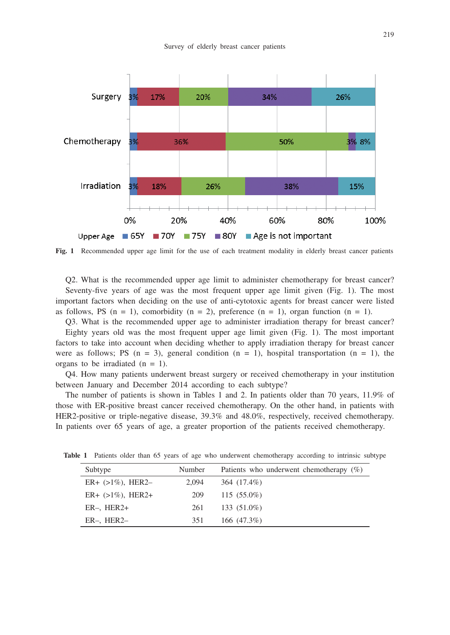

**Fig. 1** Recommended upper age limit for the use of each treatment modality in elderly breast cancer patients

Q2. What is the recommended upper age limit to administer chemotherapy for breast cancer? Seventy-five years of age was the most frequent upper age limit given (Fig. 1). The most important factors when deciding on the use of anti-cytotoxic agents for breast cancer were listed as follows, PS  $(n = 1)$ , comorbidity  $(n = 2)$ , preference  $(n = 1)$ , organ function  $(n = 1)$ .

Q3. What is the recommended upper age to administer irradiation therapy for breast cancer?

Eighty years old was the most frequent upper age limit given (Fig. 1). The most important factors to take into account when deciding whether to apply irradiation therapy for breast cancer were as follows; PS  $(n = 3)$ , general condition  $(n = 1)$ , hospital transportation  $(n = 1)$ , the organs to be irradiated  $(n = 1)$ .

Q4. How many patients underwent breast surgery or received chemotherapy in your institution between January and December 2014 according to each subtype?

The number of patients is shown in Tables 1 and 2. In patients older than 70 years, 11.9% of those with ER-positive breast cancer received chemotherapy. On the other hand, in patients with HER2-positive or triple-negative disease, 39.3% and 48.0%, respectively, received chemotherapy. In patients over 65 years of age, a greater proportion of the patients received chemotherapy.

| Subtype              | Number | Patients who underwent chemotherapy $(\%)$ |
|----------------------|--------|--------------------------------------------|
| $ER+ (>1\%)$ , HER2- | 2.094  | 364 (17.4%)                                |
| $ER+ (>1\%)$ , HER2+ | 209    | $115(55.0\%)$                              |
| $ER-$ , $HER2+$      | 261    | 133 (51.0%)                                |
| $ER-$ , $HER2-$      | 351    | 166 $(47.3\%)$                             |

**Table 1** Patients older than 65 years of age who underwent chemotherapy according to intrinsic subtype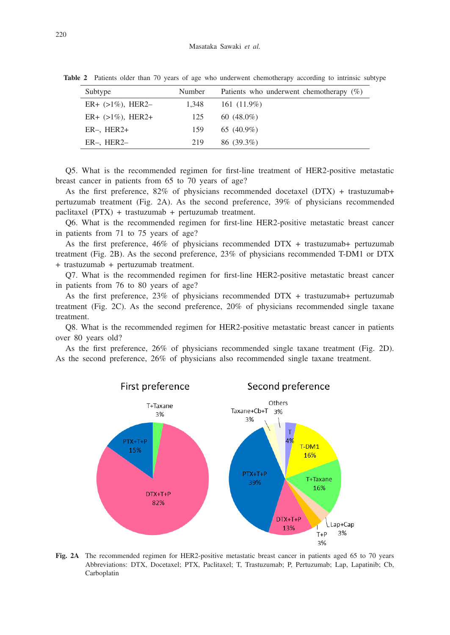| Subtype              | Number | Patients who underwent chemotherapy $(\%)$ |
|----------------------|--------|--------------------------------------------|
| $ER+ (>1\%)$ , HER2- | 1.348  | 161 $(11.9\%)$                             |
| $ER+ (>1\%)$ , HER2+ | 125    | 60 $(48.0\%)$                              |
| $ER-$ , $HER2+$      | 159    | 65 $(40.9\%)$                              |
| $ER-$ , $HER2-$      | 219    | 86 (39.3%)                                 |

**Table 2** Patients older than 70 years of age who underwent chemotherapy according to intrinsic subtype

Q5. What is the recommended regimen for first-line treatment of HER2-positive metastatic breast cancer in patients from 65 to 70 years of age?

As the first preference,  $82\%$  of physicians recommended docetaxel (DTX) + trastuzumab+ pertuzumab treatment (Fig. 2A). As the second preference, 39% of physicians recommended paclitaxel (PTX) + trastuzumab + pertuzumab treatment.

Q6. What is the recommended regimen for first-line HER2-positive metastatic breast cancer in patients from 71 to 75 years of age?

As the first preference, 46% of physicians recommended DTX + trastuzumab+ pertuzumab treatment (Fig. 2B). As the second preference, 23% of physicians recommended T-DM1 or DTX + trastuzumab + pertuzumab treatment.

Q7. What is the recommended regimen for first-line HER2-positive metastatic breast cancer in patients from 76 to 80 years of age?

As the first preference, 23% of physicians recommended DTX + trastuzumab+ pertuzumab treatment (Fig. 2C). As the second preference, 20% of physicians recommended single taxane treatment.

Q8. What is the recommended regimen for HER2-positive metastatic breast cancer in patients over 80 years old?

As the first preference, 26% of physicians recommended single taxane treatment (Fig. 2D). As the second preference, 26% of physicians also recommended single taxane treatment.



**Fig. 2A** The recommended regimen for HER2-positive metastatic breast cancer in patients aged 65 to 70 years Abbreviations: DTX, Docetaxel; PTX, Paclitaxel; T, Trastuzumab; P, Pertuzumab; Lap, Lapatinib; Cb, Carboplatin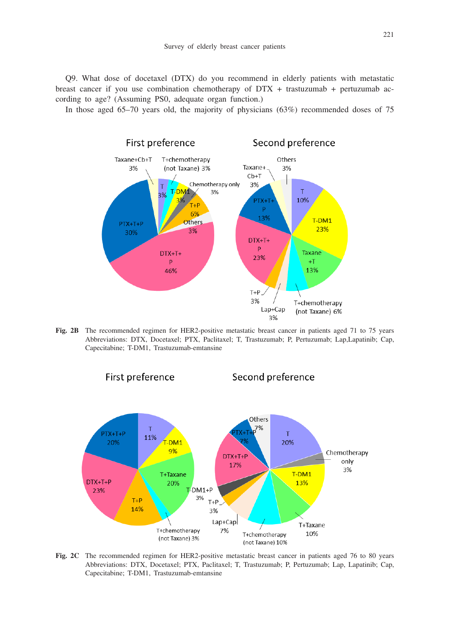Q9. What dose of docetaxel (DTX) do you recommend in elderly patients with metastatic breast cancer if you use combination chemotherapy of  $DTX +$  trastuzumab + pertuzumab according to age? (Assuming PS0, adequate organ function.)

In those aged 65–70 years old, the majority of physicians (63%) recommended doses of 75



Fig. 2B The recommended regimen for HER2-positive metastatic breast cancer in patients aged 71 to 75 years Abbreviations: DTX, Docetaxel; PTX, Paclitaxel; T, Trastuzumab; P, Pertuzumab; Lap,Lapatinib; Cap, Capecitabine; T-DM1, Trastuzumab-emtansine



**Fig. 2C** The recommended regimen for HER2-positive metastatic breast cancer in patients aged 76 to 80 years Abbreviations: DTX, Docetaxel; PTX, Paclitaxel; T, Trastuzumab; P, Pertuzumab; Lap, Lapatinib; Cap, Capecitabine; T-DM1, Trastuzumab-emtansine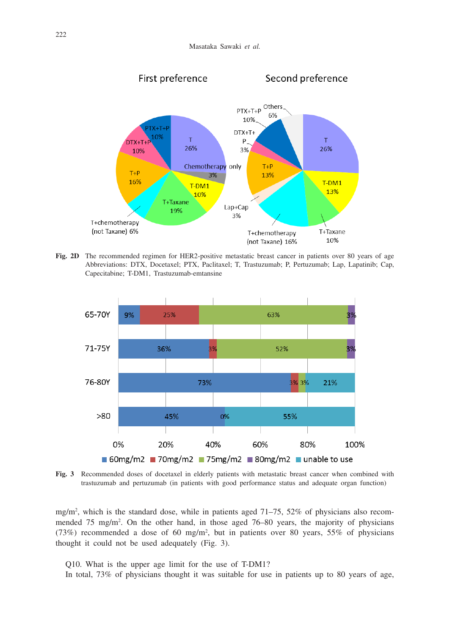

**Fig. 2D** The recommended regimen for HER2-positive metastatic breast cancer in patients over 80 years of age Abbreviations: DTX, Docetaxel; PTX, Paclitaxel; T, Trastuzumab; P, Pertuzumab; Lap, Lapatinib; Cap, Capecitabine; T-DM1, Trastuzumab-emtansine



**Fig. 3** Recommended doses of docetaxel in elderly patients with metastatic breast cancer when combined with trastuzumab and pertuzumab (in patients with good performance status and adequate organ function)

mg/m2 , which is the standard dose, while in patients aged 71–75, 52% of physicians also recommended 75 mg/m<sup>2</sup>. On the other hand, in those aged 76–80 years, the majority of physicians (73%) recommended a dose of 60 mg/m2 , but in patients over 80 years, 55% of physicians thought it could not be used adequately (Fig. 3).

Q10. What is the upper age limit for the use of T-DM1?

In total, 73% of physicians thought it was suitable for use in patients up to 80 years of age,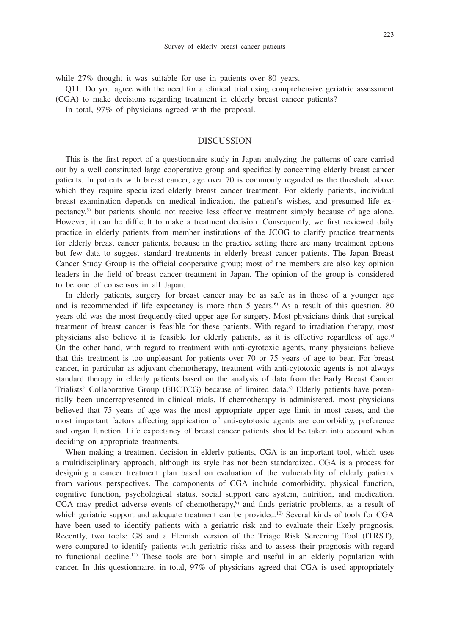while 27% thought it was suitable for use in patients over 80 years.

- Q11. Do you agree with the need for a clinical trial using comprehensive geriatric assessment
- (CGA) to make decisions regarding treatment in elderly breast cancer patients?
	- In total, 97% of physicians agreed with the proposal.

# DISCUSSION

This is the first report of a questionnaire study in Japan analyzing the patterns of care carried out by a well constituted large cooperative group and specifically concerning elderly breast cancer patients. In patients with breast cancer, age over 70 is commonly regarded as the threshold above which they require specialized elderly breast cancer treatment. For elderly patients, individual breast examination depends on medical indication, the patient's wishes, and presumed life expectancy,5) but patients should not receive less effective treatment simply because of age alone. However, it can be difficult to make a treatment decision. Consequently, we first reviewed daily practice in elderly patients from member institutions of the JCOG to clarify practice treatments for elderly breast cancer patients, because in the practice setting there are many treatment options but few data to suggest standard treatments in elderly breast cancer patients. The Japan Breast Cancer Study Group is the official cooperative group; most of the members are also key opinion leaders in the field of breast cancer treatment in Japan. The opinion of the group is considered to be one of consensus in all Japan.

In elderly patients, surgery for breast cancer may be as safe as in those of a younger age and is recommended if life expectancy is more than 5 years.<sup>6</sup> As a result of this question, 80 years old was the most frequently-cited upper age for surgery. Most physicians think that surgical treatment of breast cancer is feasible for these patients. With regard to irradiation therapy, most physicians also believe it is feasible for elderly patients, as it is effective regardless of age.<sup>7)</sup> On the other hand, with regard to treatment with anti-cytotoxic agents, many physicians believe that this treatment is too unpleasant for patients over 70 or 75 years of age to bear. For breast cancer, in particular as adjuvant chemotherapy, treatment with anti-cytotoxic agents is not always standard therapy in elderly patients based on the analysis of data from the Early Breast Cancer Trialists' Collaborative Group (EBCTCG) because of limited data.8) Elderly patients have potentially been underrepresented in clinical trials. If chemotherapy is administered, most physicians believed that 75 years of age was the most appropriate upper age limit in most cases, and the most important factors affecting application of anti-cytotoxic agents are comorbidity, preference and organ function. Life expectancy of breast cancer patients should be taken into account when deciding on appropriate treatments.

When making a treatment decision in elderly patients, CGA is an important tool, which uses a multidisciplinary approach, although its style has not been standardized. CGA is a process for designing a cancer treatment plan based on evaluation of the vulnerability of elderly patients from various perspectives. The components of CGA include comorbidity, physical function, cognitive function, psychological status, social support care system, nutrition, and medication. CGA may predict adverse events of chemotherapy, $9$  and finds geriatric problems, as a result of which geriatric support and adequate treatment can be provided.<sup>10</sup> Several kinds of tools for CGA have been used to identify patients with a geriatric risk and to evaluate their likely prognosis. Recently, two tools: G8 and a Flemish version of the Triage Risk Screening Tool (fTRST), were compared to identify patients with geriatric risks and to assess their prognosis with regard to functional decline.<sup>11)</sup> These tools are both simple and useful in an elderly population with cancer. In this questionnaire, in total, 97% of physicians agreed that CGA is used appropriately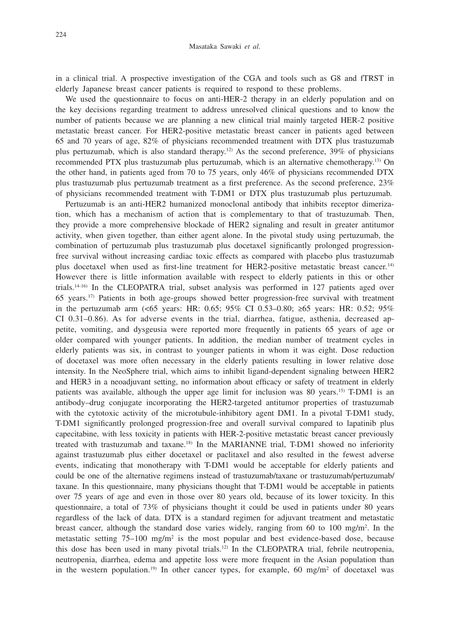in a clinical trial. A prospective investigation of the CGA and tools such as G8 and fTRST in elderly Japanese breast cancer patients is required to respond to these problems.

We used the questionnaire to focus on anti-HER-2 therapy in an elderly population and on the key decisions regarding treatment to address unresolved clinical questions and to know the number of patients because we are planning a new clinical trial mainly targeted HER-2 positive metastatic breast cancer. For HER2-positive metastatic breast cancer in patients aged between 65 and 70 years of age, 82% of physicians recommended treatment with DTX plus trastuzumab plus pertuzumab, which is also standard therapy.<sup>12)</sup> As the second preference,  $39\%$  of physicians recommended PTX plus trastuzumab plus pertuzumab, which is an alternative chemotherapy.13) On the other hand, in patients aged from 70 to 75 years, only 46% of physicians recommended DTX plus trastuzumab plus pertuzumab treatment as a first preference. As the second preference, 23% of physicians recommended treatment with T-DM1 or DTX plus trastuzumab plus pertuzumab.

Pertuzumab is an anti-HER2 humanized monoclonal antibody that inhibits receptor dimerization, which has a mechanism of action that is complementary to that of trastuzumab. Then, they provide a more comprehensive blockade of HER2 signaling and result in greater antitumor activity, when given together, than either agent alone. In the pivotal study using pertuzumab, the combination of pertuzumab plus trastuzumab plus docetaxel significantly prolonged progressionfree survival without increasing cardiac toxic effects as compared with placebo plus trastuzumab plus docetaxel when used as first-line treatment for HER2-positive metastatic breast cancer.14) However there is little information available with respect to elderly patients in this or other trials.14-16) In the CLEOPATRA trial, subset analysis was performed in 127 patients aged over  $65$  years.<sup>17)</sup> Patients in both age-groups showed better progression-free survival with treatment in the pertuzumab arm (<65 years: HR: 0.65; 95% CI 0.53–0.80; ≥65 years: HR: 0.52; 95% CI 0.31–0.86). As for adverse events in the trial, diarrhea, fatigue, asthenia, decreased appetite, vomiting, and dysgeusia were reported more frequently in patients 65 years of age or older compared with younger patients. In addition, the median number of treatment cycles in elderly patients was six, in contrast to younger patients in whom it was eight. Dose reduction of docetaxel was more often necessary in the elderly patients resulting in lower relative dose intensity. In the NeoSphere trial, which aims to inhibit ligand-dependent signaling between HER2 and HER3 in a neoadjuvant setting, no information about efficacy or safety of treatment in elderly patients was available, although the upper age limit for inclusion was 80 years.15) T-DM1 is an antibody–drug conjugate incorporating the HER2-targeted antitumor properties of trastuzumab with the cytotoxic activity of the microtubule-inhibitory agent DM1. In a pivotal T-DM1 study, T-DM1 significantly prolonged progression-free and overall survival compared to lapatinib plus capecitabine, with less toxicity in patients with HER-2-positive metastatic breast cancer previously treated with trastuzumab and taxane.18) In the MARIANNE trial, T-DM1 showed no inferiority against trastuzumab plus either docetaxel or paclitaxel and also resulted in the fewest adverse events, indicating that monotherapy with T-DM1 would be acceptable for elderly patients and could be one of the alternative regimens instead of trastuzumab/taxane or trastuzumab/pertuzumab/ taxane. In this questionnaire, many physicians thought that T-DM1 would be acceptable in patients over 75 years of age and even in those over 80 years old, because of its lower toxicity. In this questionnaire, a total of 73% of physicians thought it could be used in patients under 80 years regardless of the lack of data. DTX is a standard regimen for adjuvant treatment and metastatic breast cancer, although the standard dose varies widely, ranging from 60 to 100 mg/m<sup>2</sup>. In the metastatic setting 75–100 mg/m<sup>2</sup> is the most popular and best evidence-based dose, because this dose has been used in many pivotal trials.12) In the CLEOPATRA trial, febrile neutropenia, neutropenia, diarrhea, edema and appetite loss were more frequent in the Asian population than in the western population.<sup>19)</sup> In other cancer types, for example, 60 mg/m<sup>2</sup> of docetaxel was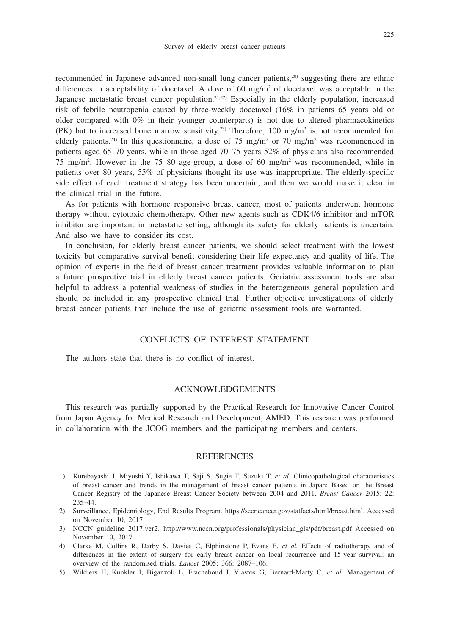recommended in Japanese advanced non-small lung cancer patients,20) suggesting there are ethnic differences in acceptability of docetaxel. A dose of 60 mg/m<sup>2</sup> of docetaxel was acceptable in the Japanese metastatic breast cancer population.<sup>21,22)</sup> Especially in the elderly population, increased risk of febrile neutropenia caused by three-weekly docetaxel (16% in patients 65 years old or older compared with 0% in their younger counterparts) is not due to altered pharmacokinetics (PK) but to increased bone marrow sensitivity.<sup>23</sup> Therefore, 100 mg/m<sup>2</sup> is not recommended for elderly patients.<sup>24)</sup> In this questionnaire, a dose of 75 mg/m<sup>2</sup> or 70 mg/m<sup>2</sup> was recommended in patients aged 65–70 years, while in those aged 70–75 years 52% of physicians also recommended 75 mg/m<sup>2</sup>. However in the 75–80 age-group, a dose of 60 mg/m<sup>2</sup> was recommended, while in patients over 80 years, 55% of physicians thought its use was inappropriate. The elderly-specific side effect of each treatment strategy has been uncertain, and then we would make it clear in the clinical trial in the future.

As for patients with hormone responsive breast cancer, most of patients underwent hormone therapy without cytotoxic chemotherapy. Other new agents such as CDK4/6 inhibitor and mTOR inhibitor are important in metastatic setting, although its safety for elderly patients is uncertain. And also we have to consider its cost.

In conclusion, for elderly breast cancer patients, we should select treatment with the lowest toxicity but comparative survival benefit considering their life expectancy and quality of life. The opinion of experts in the field of breast cancer treatment provides valuable information to plan a future prospective trial in elderly breast cancer patients. Geriatric assessment tools are also helpful to address a potential weakness of studies in the heterogeneous general population and should be included in any prospective clinical trial. Further objective investigations of elderly breast cancer patients that include the use of geriatric assessment tools are warranted.

# CONFLICTS OF INTEREST STATEMENT

The authors state that there is no conflict of interest.

# ACKNOWLEDGEMENTS

This research was partially supported by the Practical Research for Innovative Cancer Control from Japan Agency for Medical Research and Development, AMED. This research was performed in collaboration with the JCOG members and the participating members and centers.

#### REFERENCES

- 1) Kurebayashi J, Miyoshi Y, Ishikawa T, Saji S, Sugie T, Suzuki T, *et al.* Clinicopathological characteristics of breast cancer and trends in the management of breast cancer patients in Japan: Based on the Breast Cancer Registry of the Japanese Breast Cancer Society between 2004 and 2011. *Breast Cancer* 2015; 22: 235–44.
- 2) Surveillance, Epidemiology, End Results Program. https://seer.cancer.gov/statfacts/html/breast.html. Accessed on November 10, 2017
- 3) NCCN guideline 2017.ver2. http://www.nccn.org/professionals/physician\_gls/pdf/breast.pdf Accessed on November 10, 2017
- 4) Clarke M, Collins R, Darby S, Davies C, Elphinstone P, Evans E, *et al.* Effects of radiotherapy and of differences in the extent of surgery for early breast cancer on local recurrence and 15-year survival: an overview of the randomised trials. *Lancet* 2005; 366: 2087–106.
- 5) Wildiers H, Kunkler I, Biganzoli L, Fracheboud J, Vlastos G, Bernard-Marty C, *et al.* Management of